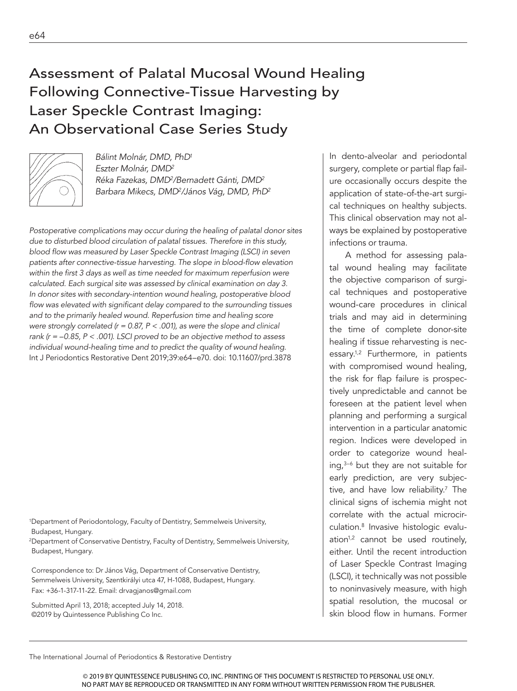# Following Connective-Tissue Harvesting by Laser Speckle Contrast Imaging: An Observational Case Series Study



*Bálint Molnár, DMD, PhD1 Eszter Molnár, DMD2 Réka Fazekas, DMD2/Bernadett Gánti, DMD2 Barbara Mikecs, DMD2/János Vág, DMD, PhD2*

*Postoperative complications may occur during the healing of palatal donor sites due to disturbed blood circulation of palatal tissues. Therefore in this study, blood flow was measured by Laser Speckle Contrast Imaging (LSCI) in seven patients after connective-tissue harvesting. The slope in blood-flow elevation within the first 3 days as well as time needed for maximum reperfusion were calculated. Each surgical site was assessed by clinical examination on day 3. In donor sites with secondary-intention wound healing, postoperative blood flow was elevated with significant delay compared to the surrounding tissues and to the primarily healed wound. Reperfusion time and healing score were strongly correlated (r = 0.87, P < .001), as were the slope and clinical rank (r = –0.85, P < .001). LSCI proved to be an objective method to assess individual wound-healing time and to predict the quality of wound healing.*  Int J Periodontics Restorative Dent 2019;39:e64–e70. doi: 10.11607/prd.3878

1Department of Periodontology, Faculty of Dentistry, Semmelweis University, Budapest, Hungary.

2Department of Conservative Dentistry, Faculty of Dentistry, Semmelweis University, Budapest, Hungary.

Correspondence to: Dr János Vág, Department of Conservative Dentistry, Semmelweis University, Szentkirályi utca 47, H-1088, Budapest, Hungary. Fax: +36-1-317-11-22. Email: drvagjanos@gmail.com

Submitted April 13, 2018; accepted July 14, 2018. ©2019 by Quintessence Publishing Co Inc.

In dento-alveolar and periodontal surgery, complete or partial flap failure occasionally occurs despite the application of state-of-the-art surgical techniques on healthy subjects. This clinical observation may not always be explained by postoperative infections or trauma.

A method for assessing palatal wound healing may facilitate the objective comparison of surgical techniques and postoperative wound-care procedures in clinical trials and may aid in determining the time of complete donor-site healing if tissue reharvesting is necessary.1,2 Furthermore, in patients with compromised wound healing, the risk for flap failure is prospectively unpredictable and cannot be foreseen at the patient level when planning and performing a surgical intervention in a particular anatomic region. Indices were developed in order to categorize wound healing,3–6 but they are not suitable for early prediction, are very subjective, and have low reliability.<sup>7</sup> The clinical signs of ischemia might not correlate with the actual microcirculation.8 Invasive histologic evaluation<sup>1,2</sup> cannot be used routinely, either. Until the recent introduction of Laser Speckle Contrast Imaging (LSCI), it technically was not possible to noninvasively measure, with high spatial resolution, the mucosal or skin blood flow in humans. Former

The International Journal of Periodontics & Restorative Dentistry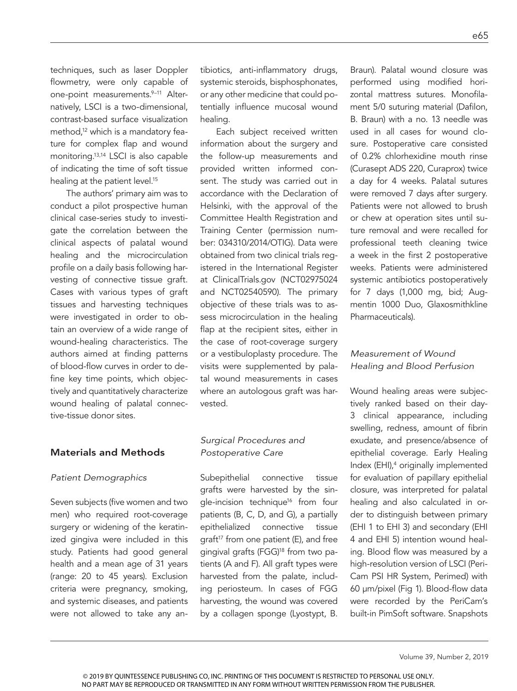techniques, such as laser Doppler flowmetry, were only capable of one-point measurements.<sup>9-11</sup> Alternatively, LSCI is a two-dimensional, contrast-based surface visualization method,<sup>12</sup> which is a mandatory feature for complex flap and wound monitoring.13,14 LSCI is also capable of indicating the time of soft tissue healing at the patient level.<sup>15</sup>

The authors' primary aim was to conduct a pilot prospective human clinical case-series study to investigate the correlation between the clinical aspects of palatal wound healing and the microcirculation profile on a daily basis following harvesting of connective tissue graft. Cases with various types of graft tissues and harvesting techniques were investigated in order to obtain an overview of a wide range of wound-healing characteristics. The authors aimed at finding patterns of blood-flow curves in order to define key time points, which objectively and quantitatively characterize wound healing of palatal connective-tissue donor sites.

#### Materials and Methods

#### *Patient Demographics*

Seven subjects (five women and two men) who required root-coverage surgery or widening of the keratinized gingiva were included in this study. Patients had good general health and a mean age of 31 years (range: 20 to 45 years). Exclusion criteria were pregnancy, smoking, and systemic diseases, and patients were not allowed to take any antibiotics, anti-inflammatory drugs, systemic steroids, bisphosphonates, or any other medicine that could potentially influence mucosal wound healing.

Each subject received written information about the surgery and the follow-up measurements and provided written informed consent. The study was carried out in accordance with the Declaration of Helsinki, with the approval of the Committee Health Registration and Training Center (permission number: 034310/2014/OTIG). Data were obtained from two clinical trials registered in the International Register at ClinicalTrials.gov (NCT02975024 and NCT02540590). The primary objective of these trials was to assess microcirculation in the healing flap at the recipient sites, either in the case of root-coverage surgery or a vestibuloplasty procedure. The visits were supplemented by palatal wound measurements in cases where an autologous graft was harvested.

## *Surgical Procedures and Postoperative Care*

Subepithelial connective tissue grafts were harvested by the single-incision technique<sup>16</sup> from four patients (B, C, D, and G), a partially epithelialized connective tissue graft $17$  from one patient (E), and free gingival grafts (FGG)<sup>18</sup> from two patients (A and F). All graft types were harvested from the palate, including periosteum. In cases of FGG harvesting, the wound was covered by a collagen sponge (Lyostypt, B.

Braun). Palatal wound closure was performed using modified horizontal mattress sutures. Monofilament 5/0 suturing material (Dafilon, B. Braun) with a no. 13 needle was used in all cases for wound closure. Postoperative care consisted of 0.2% chlorhexidine mouth rinse (Curasept ADS 220, Curaprox) twice a day for 4 weeks. Palatal sutures were removed 7 days after surgery. Patients were not allowed to brush or chew at operation sites until suture removal and were recalled for professional teeth cleaning twice a week in the first 2 postoperative weeks. Patients were administered systemic antibiotics postoperatively for 7 days (1,000 mg, bid; Augmentin 1000 Duo, Glaxosmithkline Pharmaceuticals).

# *Measurement of Wound Healing and Blood Perfusion*

Wound healing areas were subjectively ranked based on their day-3 clinical appearance, including swelling, redness, amount of fibrin exudate, and presence/absence of epithelial coverage. Early Healing Index (EHI),<sup>4</sup> originally implemented for evaluation of papillary epithelial closure, was interpreted for palatal healing and also calculated in order to distinguish between primary (EHI 1 to EHI 3) and secondary (EHI 4 and EHI 5) intention wound healing. Blood flow was measured by a high-resolution version of LSCI (Peri-Cam PSI HR System, Perimed) with 60 µm/pixel (Fig 1). Blood-flow data were recorded by the PeriCam's built-in PimSoft software. Snapshots

Volume 39, Number 2, 2019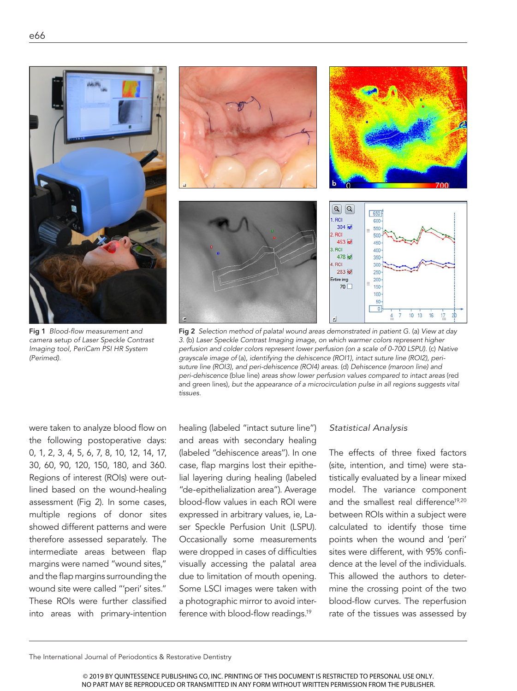

Fig 1 *Blood-flow measurement and camera setup of Laser Speckle Contrast Imaging tool, PeriCam PSI HR System (Perimed).*



Fig 2 *Selection method of palatal wound areas demonstrated in patient G.* (a) *View at day 3.* (b) *Laser Speckle Contrast Imaging image, on which warmer colors represent higher perfusion and colder colors represent lower perfusion (on a scale of 0-700 LSPU).* (c) *Native grayscale image of* (a)*, identifying the dehiscence (ROI1), intact suture line (ROI2), perisuture line (ROI3), and peri-dehiscence (ROI4) areas.* (d) *Dehiscence (maroon line) and peri-dehiscence* (blue line) *areas show lower perfusion values compared to intact areas* (red and green lines)*, but the appearance of a microcirculation pulse in all regions suggests vital tissues.*

were taken to analyze blood flow on the following postoperative days: 0, 1, 2, 3, 4, 5, 6, 7, 8, 10, 12, 14, 17, 30, 60, 90, 120, 150, 180, and 360. Regions of interest (ROIs) were outlined based on the wound-healing assessment (Fig 2). In some cases, multiple regions of donor sites showed different patterns and were therefore assessed separately. The intermediate areas between flap margins were named "wound sites," and the flap margins surrounding the wound site were called "'peri' sites." These ROIs were further classified into areas with primary-intention

healing (labeled "intact suture line") and areas with secondary healing (labeled "dehiscence areas"). In one case, flap margins lost their epithelial layering during healing (labeled "de-epithelialization area"). Average blood-flow values in each ROI were expressed in arbitrary values, ie, Laser Speckle Perfusion Unit (LSPU). Occasionally some measurements were dropped in cases of difficulties visually accessing the palatal area due to limitation of mouth opening. Some LSCI images were taken with a photographic mirror to avoid interference with blood-flow readings.<sup>19</sup>

#### *Statistical Analysis*

The effects of three fixed factors (site, intention, and time) were statistically evaluated by a linear mixed model. The variance component and the smallest real difference<sup>19,20</sup> between ROIs within a subject were calculated to identify those time points when the wound and 'peri' sites were different, with 95% confidence at the level of the individuals. This allowed the authors to determine the crossing point of the two blood-flow curves. The reperfusion rate of the tissues was assessed by

The International Journal of Periodontics & Restorative Dentistry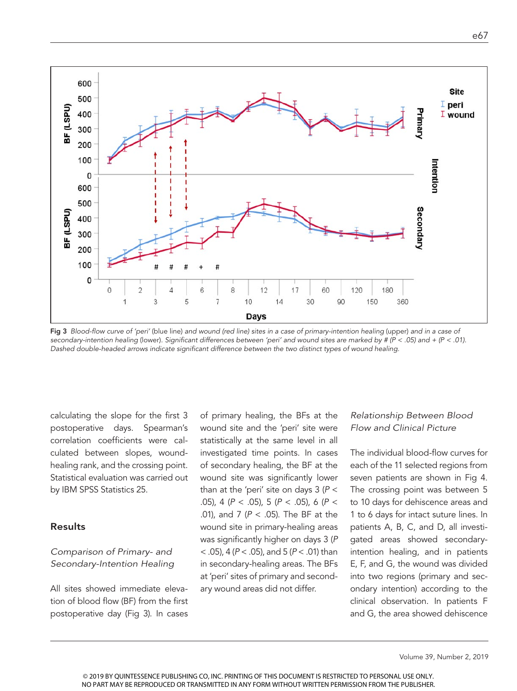

Fig 3 Blood-flow curve of 'peri' (blue line) and wound (red line) sites in a case of primary-intention healing (upper) and in a case of *secondary-intention healing* (lower)*. Significant differences between 'peri' and wound sites are marked by # (P < .05) and + (P < .01). Dashed double-headed arrows indicate significant difference between the two distinct types of wound healing.*

calculating the slope for the first 3 postoperative days. Spearman's correlation coefficients were calculated between slopes, woundhealing rank, and the crossing point. Statistical evaluation was carried out by IBM SPSS Statistics 25.

#### Results

## *Comparison of Primary- and Secondary-Intention Healing*

All sites showed immediate elevation of blood flow (BF) from the first postoperative day (Fig 3). In cases

of primary healing, the BFs at the wound site and the 'peri' site were statistically at the same level in all investigated time points. In cases of secondary healing, the BF at the wound site was significantly lower than at the 'peri' site on days 3 (*P* < .05), 4 (*P* < .05), 5 (*P* < .05), 6 (*P* < .01), and 7 (*P* < .05). The BF at the wound site in primary-healing areas was significantly higher on days 3 (*P* < .05), 4 (*P* < .05), and 5 (*P* < .01) than in secondary-healing areas. The BFs at 'peri' sites of primary and secondary wound areas did not differ.

#### *Relationship Between Blood Flow and Clinical Picture*

The individual blood-flow curves for each of the 11 selected regions from seven patients are shown in Fig 4. The crossing point was between 5 to 10 days for dehiscence areas and 1 to 6 days for intact suture lines. In patients A, B, C, and D, all investigated areas showed secondaryintention healing, and in patients E, F, and G, the wound was divided into two regions (primary and secondary intention) according to the clinical observation. In patients F and G, the area showed dehiscence

Volume 39, Number 2, 2019

© 2019 BY QUINTESSENCE PUBLISHING CO, INC. PRINTING OF THIS DOCUMENT IS RESTRICTED TO PERSONAL USE ONLY. NO PART MAY BE REPRODUCED OR TRANSMITTED IN ANY FORM WITHOUT WRITTEN PERMISSION FROM THE PUBLISHER.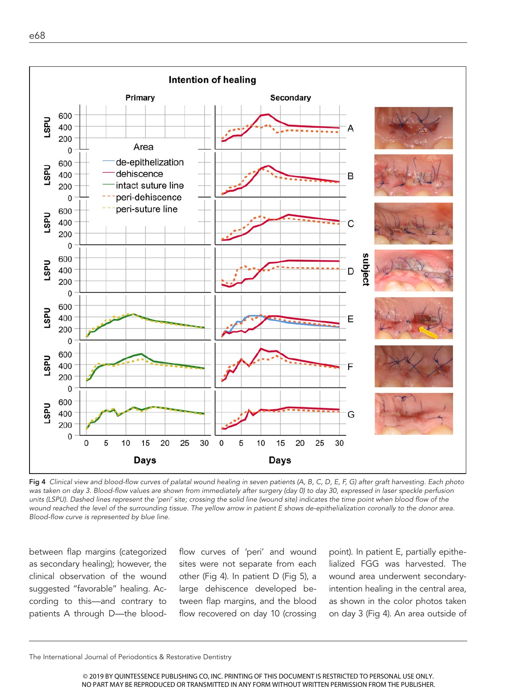

Fig 4 *Clinical view and blood-flow curves of palatal wound healing in seven patients (A, B, C, D, E, F, G) after graft harvesting. Each photo*  was taken on day 3. Blood-flow values are shown from immediately after surgery (day 0) to day 30, expressed in laser speckle perfusion units (LSPU). Dashed lines represent the 'peri' site; crossing the solid line (wound site) indicates the time point when blood flow of the *wound reached the level of the surrounding tissue. The yellow arrow in patient E shows de-epithelialization coronally to the donor area. Blood-flow curve is represented by blue line.* 

between flap margins (categorized as secondary healing); however, the clinical observation of the wound suggested "favorable" healing. According to this—and contrary to patients A through D—the bloodflow curves of 'peri' and wound sites were not separate from each other (Fig 4). In patient D (Fig 5), a large dehiscence developed between flap margins, and the blood flow recovered on day 10 (crossing point). In patient E, partially epithelialized FGG was harvested. The wound area underwent secondaryintention healing in the central area, as shown in the color photos taken on day 3 (Fig 4). An area outside of

The International Journal of Periodontics & Restorative Dentistry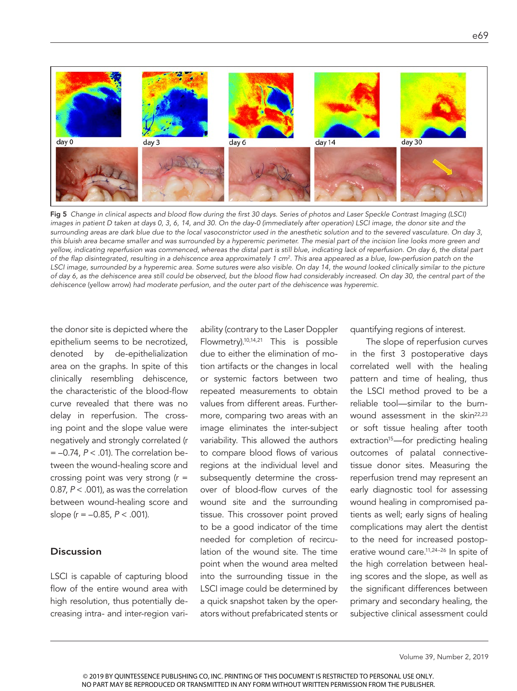

Fig 5 *Change in clinical aspects and blood flow during the first 30 days. Series of photos and Laser Speckle Contrast Imaging (LSCI) images in patient D taken at days 0, 3, 6, 14, and 30. On the day-0 (immediately after operation) LSCI image, the donor site and the surrounding areas are dark blue due to the local vasoconstrictor used in the anesthetic solution and to the severed vasculature. On day 3, this bluish area became smaller and was surrounded by a hyperemic perimeter. The mesial part of the incision line looks more green and yellow, indicating reperfusion was commenced, whereas the distal part is still blue, indicating lack of reperfusion. On day 6, the distal part of the flap disintegrated, resulting in a dehiscence area approximately 1 cm2. This area appeared as a blue, low-perfusion patch on the LSCI image, surrounded by a hyperemic area. Some sutures were also visible. On day 14, the wound looked clinically similar to the picture of day 6, as the dehiscence area still could be observed, but the blood flow had considerably increased. On day 30, the central part of the dehiscence* (yellow arrow) *had moderate perfusion, and the outer part of the dehiscence was hyperemic.* 

the donor site is depicted where the epithelium seems to be necrotized, denoted by de-epithelialization area on the graphs. In spite of this clinically resembling dehiscence, the characteristic of the blood-flow curve revealed that there was no delay in reperfusion. The crossing point and the slope value were negatively and strongly correlated (r = –0.74, *P* < .01). The correlation between the wound-healing score and crossing point was very strong  $(r =$ 0.87, *P* < .001), as was the correlation between wound-healing score and slope (r = –0.85, *P* < .001).

#### **Discussion**

LSCI is capable of capturing blood flow of the entire wound area with high resolution, thus potentially decreasing intra- and inter-region variability (contrary to the Laser Doppler Flowmetry).10,14,21 This is possible due to either the elimination of motion artifacts or the changes in local or systemic factors between two repeated measurements to obtain values from different areas. Furthermore, comparing two areas with an image eliminates the inter-subject variability. This allowed the authors to compare blood flows of various regions at the individual level and subsequently determine the crossover of blood-flow curves of the wound site and the surrounding tissue. This crossover point proved to be a good indicator of the time needed for completion of recirculation of the wound site. The time point when the wound area melted into the surrounding tissue in the LSCI image could be determined by a quick snapshot taken by the operators without prefabricated stents or quantifying regions of interest.

The slope of reperfusion curves in the first 3 postoperative days correlated well with the healing pattern and time of healing, thus the LSCI method proved to be a reliable tool—similar to the burnwound assessment in the skin<sup>22,23</sup> or soft tissue healing after tooth extraction<sup>15</sup>—for predicting healing outcomes of palatal connectivetissue donor sites. Measuring the reperfusion trend may represent an early diagnostic tool for assessing wound healing in compromised patients as well; early signs of healing complications may alert the dentist to the need for increased postoperative wound care.11,24–26 In spite of the high correlation between healing scores and the slope, as well as the significant differences between primary and secondary healing, the subjective clinical assessment could

© 2019 BY QUINTESSENCE PUBLISHING CO, INC. PRINTING OF THIS DOCUMENT IS RESTRICTED TO PERSONAL USE ONLY. NO PART MAY BE REPRODUCED OR TRANSMITTED IN ANY FORM WITHOUT WRITTEN PERMISSION FROM THE PUBLISHER.